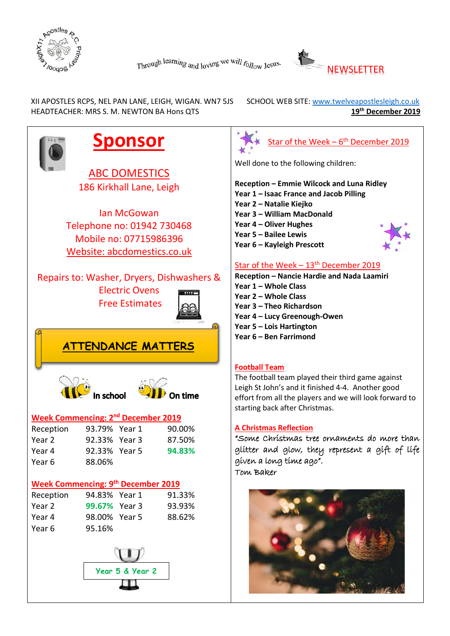



XII APOSTLES RCPS, NEL PAN LANE, LEIGH, WIGAN. WN7 5JS SCHOOL WEB SITE: www.twelveapostlesleigh.co.uk HEADTEACHER: MRS S. M. NEWTON BA Hons QTS **19th 19th 19th December 2019** 





# Star of the Week  $-13<sup>th</sup>$  December 2019

**Reception – Nancie Hardie and Nada Laamiri Year 4 – Lucy Greenough-Owen**

The football team played their third game against Leigh St John's and it finished 4-4. Another good effort from all the players and we will look forward to starting back after Christmas.

"Some Christmas tree ornaments do more than glitter and glow, they represent a gift of life given a long time ago".

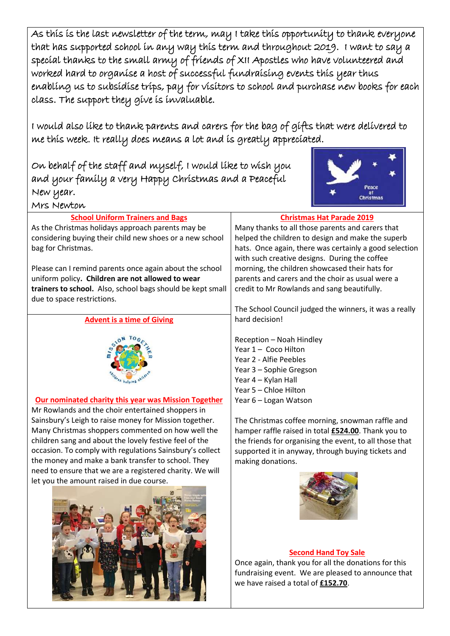As this is the last newsletter of the term, may I take this opportunity to thank everyone that has supported school in any way this term and throughout 2019. I want to say a special thanks to the small army of friends of XII Apostles who have volunteered and worked hard to organise a host of successful fundraising events this year thus enabling us to subsidise trips, pay for visitors to school and purchase new books for each class. The support they give is invaluable.

I would also like to thank parents and carers for the bag of gifts that were delivered to me this week. It really does means a lot and is greatly appreciated.

On behalf of the staff and myself, I would like to wish you and your family a very Happy Christmas and a Peaceful New year. Mrs Newton



| <b>School Uniform Trainers and Bags</b>                     | <b>Christmas Hat Parade 2019</b>                            |
|-------------------------------------------------------------|-------------------------------------------------------------|
| As the Christmas holidays approach parents may be           | Many thanks to all those parents and carers that            |
| considering buying their child new shoes or a new school    | helped the children to design and make the superb           |
| bag for Christmas.                                          | hats. Once again, there was certainly a good selection      |
|                                                             | with such creative designs. During the coffee               |
| Please can I remind parents once again about the school     | morning, the children showcased their hats for              |
| uniform policy. Children are not allowed to wear            | parents and carers and the choir as usual were a            |
| trainers to school. Also, school bags should be kept small  | credit to Mr Rowlands and sang beautifully.                 |
| due to space restrictions.                                  |                                                             |
|                                                             | The School Council judged the winners, it was a really      |
| <b>Advent is a time of Giving</b>                           | hard decision!                                              |
|                                                             |                                                             |
|                                                             | Reception - Noah Hindley                                    |
|                                                             | Year 1 - Coco Hilton                                        |
|                                                             | Year 2 - Alfie Peebles                                      |
|                                                             | Year 3 - Sophie Gregson                                     |
|                                                             | Year 4 - Kylan Hall                                         |
|                                                             | Year 5 - Chloe Hilton                                       |
| <b>Our nominated charity this year was Mission Together</b> | Year 6 - Logan Watson                                       |
| Mr Rowlands and the choir entertained shoppers in           |                                                             |
| Sainsbury's Leigh to raise money for Mission together.      | The Christmas coffee morning, snowman raffle and            |
| Many Christmas shoppers commented on how well the           | hamper raffle raised in total <b>£524.00</b> . Thank you to |
| children sang and about the lovely festive feel of the      | the friends for organising the event, to all those that     |
| occasion. To comply with regulations Sainsbury's collect    | supported it in anyway, through buying tickets and          |
| the money and make a bank transfer to school. They          | making donations.                                           |
| need to ensure that we are a registered charity. We will    |                                                             |
| let you the amount raised in due course.                    |                                                             |
|                                                             |                                                             |
|                                                             |                                                             |
|                                                             |                                                             |
|                                                             |                                                             |
|                                                             |                                                             |
|                                                             |                                                             |

### **Second Hand Toy Sale**

Once again, thank you for all the donations for this fundraising event. We are pleased to announce that we have raised a total of **£152.70**.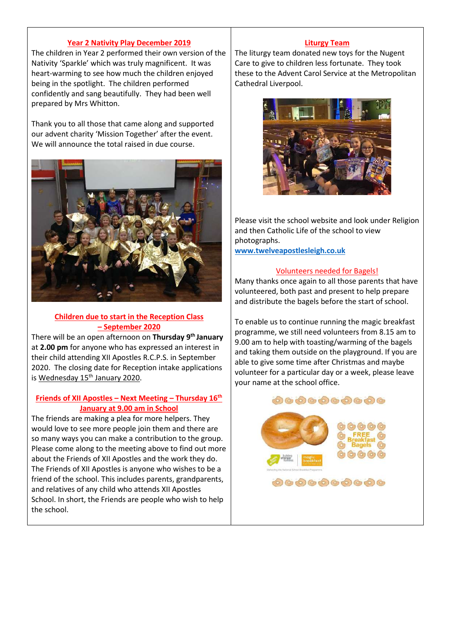#### **Year 2 Nativity Play December 2019**

The children in Year 2 performed their own version of the Nativity 'Sparkle' which was truly magnificent. It was heart-warming to see how much the children enjoyed being in the spotlight. The children performed confidently and sang beautifully. They had been well prepared by Mrs Whitton.

Thank you to all those that came along and supported our advent charity 'Mission Together' after the event. We will announce the total raised in due course.



## **Children due to start in the Reception Class – September 2020**

There will be an open afternoon on **Thursday 9th January** at **2.00 pm** for anyone who has expressed an interest in their child attending XII Apostles R.C.P.S. in September 2020. The closing date for Reception intake applications is Wednesday 15<sup>th</sup> January 2020.

#### **Friends of XII Apostles – Next Meeting – Thursday 16th January at 9.00 am in School**

The friends are making a plea for more helpers. They would love to see more people join them and there are so many ways you can make a contribution to the group. Please come along to the meeting above to find out more about the Friends of XII Apostles and the work they do. The Friends of XII Apostles is anyone who wishes to be a friend of the school. This includes parents, grandparents, and relatives of any child who attends XII Apostles School. In short, the Friends are people who wish to help the school.

#### **Liturgy Team**

The liturgy team donated new toys for the Nugent Care to give to children less fortunate. They took these to the Advent Carol Service at the Metropolitan Cathedral Liverpool.



Please visit the school website and look under Religion and then Catholic Life of the school to view photographs.

**[www.twelveapostlesleigh.co.uk](http://www.twelveapostlesleigh.co.uk/)**

#### Volunteers needed for Bagels!

Many thanks once again to all those parents that have volunteered, both past and present to help prepare and distribute the bagels before the start of school.

To enable us to continue running the magic breakfast programme, we still need volunteers from 8.15 am to 9.00 am to help with toasting/warming of the bagels and taking them outside on the playground. If you are able to give some time after Christmas and maybe volunteer for a particular day or a week, please leave your name at the school office.